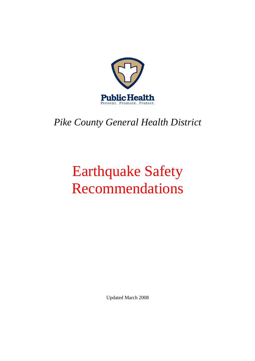

# *Pike County General Health District*

# Earthquake Safety Recommendations

Updated March 2008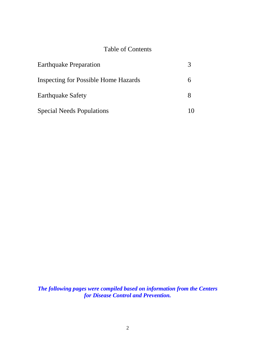# Table of Contents

| <b>Earthquake Preparation</b>        |  |
|--------------------------------------|--|
| Inspecting for Possible Home Hazards |  |
| <b>Earthquake Safety</b>             |  |
| <b>Special Needs Populations</b>     |  |

*The following pages were compiled based on information from the Centers for Disease Control and Prevention.*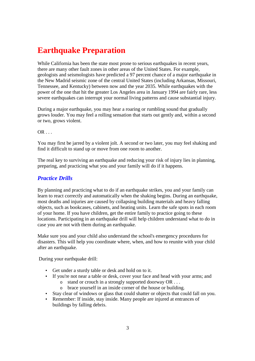# **Earthquake Preparation**

While California has been the state most prone to serious earthquakes in recent years, there are many other fault zones in other areas of the United States. For example, geologists and seismologists have predicted a 97 percent chance of a major earthquake in the New Madrid seismic zone of the central United States (including Arkansas, Missouri, Tennessee, and Kentucky) between now and the year 2035. While earthquakes with the power of the one that hit the greater Los Angeles area in January 1994 are fairly rare, less severe earthquakes can interrupt your normal living patterns and cause substantial injury.

During a major earthquake, you may hear a roaring or rumbling sound that gradually grows louder. You may feel a rolling sensation that starts out gently and, within a second or two, grows violent.

 $OR \ldots$ 

You may first be jarred by a violent jolt. A second or two later, you may feel shaking and find it difficult to stand up or move from one room to another.

The real key to surviving an earthquake and reducing your risk of injury lies in planning, preparing, and practicing what you and your family will do if it happens.

#### *Practice Drills*

By planning and practicing what to do if an earthquake strikes, you and your family can learn to react correctly and automatically when the shaking begins. During an earthquake, most deaths and injuries are caused by collapsing building materials and heavy falling objects, such as bookcases, cabinets, and heating units. Learn the safe spots in each room of your home. If you have children, get the entire family to practice going to these locations. Participating in an earthquake drill will help children understand what to do in case you are not with them during an earthquake.

Make sure you and your child also understand the school's emergency procedures for disasters. This will help you coordinate where, when, and how to reunite with your child after an earthquake.

During your earthquake drill:

- Get under a sturdy table or desk and hold on to it.
- If you're not near a table or desk, cover your face and head with your arms; and
	- o stand or crouch in a strongly supported doorway OR . . .
	- o brace yourself in an inside corner of the house or building.
- Stay clear of windows or glass that could shatter or objects that could fall on you.
- Remember: If inside, stay inside. Many people are injured at entrances of buildings by falling debris.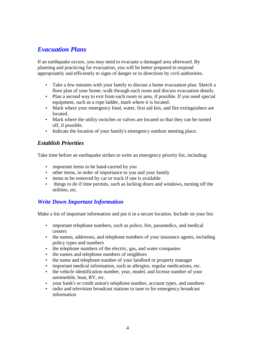# *Evacuation Plans*

If an earthquake occurs, you may need to evacuate a damaged area afterward. By planning and practicing for evacuation, you will be better prepared to respond appropriately and efficiently to signs of danger or to directions by civil authorities.

- Take a few minutes with your family to discuss a home evacuation plan. Sketch a floor plan of your home; walk through each room and discuss evacuation details.
- Plan a second way to exit from each room or area, if possible. If you need special equipment, such as a rope ladder, mark where it is located.
- Mark where your emergency food, water, first aid kits, and fire extinguishers are located.
- Mark where the utility switches or valves are located so that they can be turned off, if possible.
- Indicate the location of your family's emergency outdoor meeting place.

#### *Establish Priorities*

Take time before an earthquake strikes to write an emergency priority list, including:

- important items to be hand-carried by you
- other items, in order of importance to you and your family
- items to be removed by car or truck if one is available
- things to do if time permits, such as locking doors and windows, turning off the utilities, etc.

#### *Write Down Important Information*

Make a list of important information and put it in a secure location. Include on your list:

- important telephone numbers, such as police, fire, paramedics, and medical centers
- the names, addresses, and telephone numbers of your insurance agents, including policy types and numbers
- the telephone numbers of the electric, gas, and water companies
- the names and telephone numbers of neighbors
- the name and telephone number of your landlord or property manager
- important medical information, such as allergies, regular medications, etc.
- the vehicle identification number, year, model, and license number of your automobile, boat, RV, etc.
- your bank's or credit union's telephone number, account types, and numbers
- radio and television broadcast stations to tune to for emergency broadcast information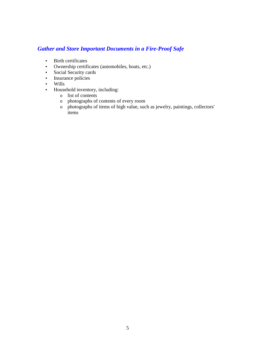# *Gather and Store Important Documents in a Fire-Proof Safe*

- Birth certificates
- Ownership certificates (automobiles, boats, etc.)
- Social Security cards
- Insurance policies
- Wills
- Household inventory, including:
	- o list of contents
	- o photographs of contents of every room
	- o photographs of items of high value, such as jewelry, paintings, collectors' items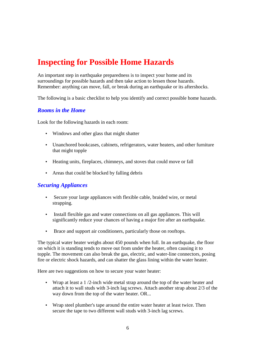# **Inspecting for Possible Home Hazards**

An important step in earthquake preparedness is to inspect your home and its surroundings for possible hazards and then take action to lessen those hazards. Remember: anything can move, fall, or break during an earthquake or its aftershocks.

The following is a basic checklist to help you identify and correct possible home hazards.

#### *Rooms in the Home*

Look for the following hazards in each room:

- Windows and other glass that might shatter
- Unanchored bookcases, cabinets, refrigerators, water heaters, and other furniture that might topple
- Heating units, fireplaces, chimneys, and stoves that could move or fall
- Areas that could be blocked by falling debris

#### *Securing Appliances*

- Secure your large appliances with flexible cable, braided wire, or metal strapping.
- Install flexible gas and water connections on all gas appliances. This will significantly reduce your chances of having a major fire after an earthquake.
- Brace and support air conditioners, particularly those on rooftops.

The typical water heater weighs about 450 pounds when full. In an earthquake, the floor on which it is standing tends to move out from under the heater, often causing it to topple. The movement can also break the gas, electric, and water-line connectors, posing fire or electric shock hazards, and can shatter the glass lining within the water heater.

Here are two suggestions on how to secure your water heater:

- Wrap at least a 1 /2-inch wide metal strap around the top of the water heater and attach it to wall studs with 3-inch lag screws. Attach another strap about 2/3 of the way down from the top of the water heater. OR...
- Wrap steel plumber's tape around the entire water heater at least twice. Then secure the tape to two different wall studs with 3-inch lag screws.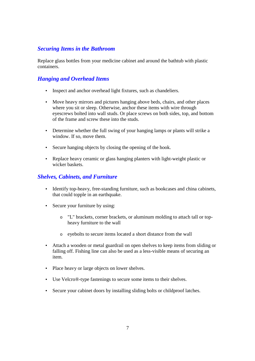## *Securing Items in the Bathroom*

Replace glass bottles from your medicine cabinet and around the bathtub with plastic containers.

## *Hanging and Overhead Items*

- Inspect and anchor overhead light fixtures, such as chandeliers.
- Move heavy mirrors and pictures hanging above beds, chairs, and other places where you sit or sleep. Otherwise, anchor these items with wire through eyescrews bolted into wall studs. Or place screws on both sides, top, and bottom of the frame and screw these into the studs.
- Determine whether the full swing of your hanging lamps or plants will strike a window. If so, move them.
- Secure hanging objects by closing the opening of the hook.
- Replace heavy ceramic or glass hanging planters with light-weight plastic or wicker baskets.

#### *Shelves, Cabinets, and Furniture*

- Identify top-heavy, free-standing furniture, such as bookcases and china cabinets, that could topple in an earthquake.
- Secure your furniture by using:
	- o "L" brackets, corner brackets, or aluminum molding to attach tall or topheavy furniture to the wall
	- o eyebolts to secure items located a short distance from the wall
- Attach a wooden or metal guardrail on open shelves to keep items from sliding or falling off. Fishing line can also be used as a less-visible means of securing an item.
- Place heavy or large objects on lower shelves.
- Use Velcro®-type fastenings to secure some items to their shelves.
- Secure your cabinet doors by installing sliding bolts or childproof latches.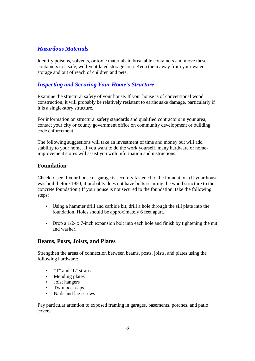## *Hazardous Materials*

Identify poisons, solvents, or toxic materials in breakable containers and move these containers to a safe, well-ventilated storage area. Keep them away from your water storage and out of reach of children and pets.

# *Inspecting and Securing Your Home's Structure*

Examine the structural safety of your house. If your house is of conventional wood construction, it will probably be relatively resistant to earthquake damage, particularly if it is a single-story structure.

For information on structural safety standards and qualified contractors in your area, contact your city or county government office on community development or building code enforcement.

The following suggestions will take an investment of time and money but will add stability to your home. If you want to do the work yourself, many hardware or homeimprovement stores will assist you with information and instructions.

#### **Foundation**

Check to see if your house or garage is securely fastened to the foundation. (If your house was built before 1950, it probably does not have bolts securing the wood structure to the concrete foundation.) If your house is not secured to the foundation, take the following steps:

- Using a hammer drill and carbide bit, drill a hole through the sill plate into the foundation. Holes should be approximately 6 feet apart.
- Drop a 1/2- x 7-inch expansion bolt into each hole and finish by tightening the nut and washer.

#### **Beams, Posts, Joists, and Plates**

Strengthen the areas of connection between beams, posts, joists, and plates using the following hardware:

- "T" and "L" straps
- Mending plates
- Joist hangers
- Twin post caps
- Nails and lag screws

Pay particular attention to exposed framing in garages, basements, porches, and patio covers.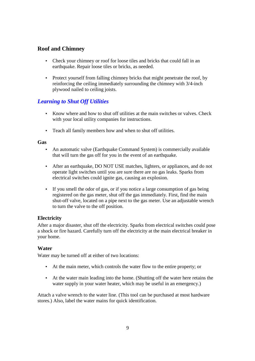## **Roof and Chimney**

- Check your chimney or roof for loose tiles and bricks that could fall in an earthquake. Repair loose tiles or bricks, as needed.
- Protect yourself from falling chimney bricks that might penetrate the roof, by reinforcing the ceiling immediately surrounding the chimney with 3/4-inch plywood nailed to ceiling joists.

## *Learning to Shut Off Utilities*

- Know where and how to shut off utilities at the main switches or valves. Check with your local utility companies for instructions.
- Teach all family members how and when to shut off utilities.

#### **Gas**

- An automatic valve (Earthquake Command System) is commercially available that will turn the gas off for you in the event of an earthquake.
- After an earthquake, DO NOT USE matches, lighters, or appliances, and do not operate light switches until you are sure there are no gas leaks. Sparks from electrical switches could ignite gas, causing an explosion.
- If you smell the odor of gas, or if you notice a large consumption of gas being registered on the gas meter, shut off the gas immediately. First, find the main shut-off valve, located on a pipe next to the gas meter. Use an adjustable wrench to turn the valve to the off position.

#### **Electricity**

After a major disaster, shut off the electricity. Sparks from electrical switches could pose a shock or fire hazard. Carefully turn off the electricity at the main electrical breaker in your home.

#### **Water**

Water may be turned off at either of two locations:

- At the main meter, which controls the water flow to the entire property; or
- At the water main leading into the home. (Shutting off the water here retains the water supply in your water heater, which may be useful in an emergency.)

Attach a valve wrench to the water line. (This tool can be purchased at most hardware stores.) Also, label the water mains for quick identification.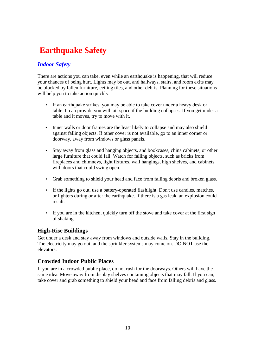# **Earthquake Safety**

# *Indoor Safety*

There are actions you can take, even while an earthquake is happening, that will reduce your chances of being hurt. Lights may be out, and hallways, stairs, and room exits may be blocked by fallen furniture, ceiling tiles, and other debris. Planning for these situations will help you to take action quickly.

- If an earthquake strikes, you may be able to take cover under a heavy desk or table. It can provide you with air space if the building collapses. If you get under a table and it moves, try to move with it.
- Inner walls or door frames are the least likely to collapse and may also shield against falling objects. If other cover is not available, go to an inner corner or doorway, away from windows or glass panels.
- Stay away from glass and hanging objects, and bookcases, china cabinets, or other large furniture that could fall. Watch for falling objects, such as bricks from fireplaces and chimneys, light fixtures, wall hangings, high shelves, and cabinets with doors that could swing open.
- Grab something to shield your head and face from falling debris and broken glass.
- If the lights go out, use a battery-operated flashlight. Don't use candles, matches, or lighters during or after the earthquake. If there is a gas leak, an explosion could result.
- If you are in the kitchen, quickly turn off the stove and take cover at the first sign of shaking.

# **High-Rise Buildings**

Get under a desk and stay away from windows and outside walls. Stay in the building. The electricity may go out, and the sprinkler systems may come on. DO NOT use the elevators.

#### **Crowded Indoor Public Places**

If you are in a crowded public place, do not rush for the doorways. Others will have the same idea. Move away from display shelves containing objects that may fall. If you can, take cover and grab something to shield your head and face from falling debris and glass.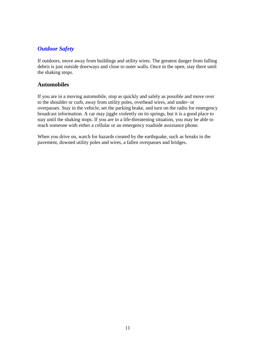# *Outdoor Safety*

If outdoors, move away from buildings and utility wires. The greatest danger from falling debris is just outside doorways and close to outer walls. Once in the open, stay there until the shaking stops.

#### **Automobiles**

If you are in a moving automobile, stop as quickly and safely as possible and move over to the shoulder or curb, away from utility poles, overhead wires, and under- or overpasses. Stay in the vehicle, set the parking brake, and turn on the radio for emergency broadcast information. A car may jiggle violently on its springs, but it is a good place to stay until the shaking stops. If you are in a life-threatening situation, you may be able to reach someone with either a cellular or an emergency roadside assistance phone.

When you drive on, watch for hazards created by the earthquake, such as breaks in the pavement, downed utility poles and wires, a fallen overpasses and bridges.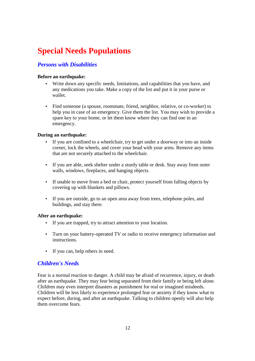# **Special Needs Populations**

# *Persons with Disabilities*

#### **Before an earthquake:**

- Write down any specific needs, limitations, and capabilities that you have, and any medications you take. Make a copy of the list and put it in your purse or wallet.
- Find someone (a spouse, roommate, friend, neighbor, relative, or co-worker) to help you in case of an emergency. Give them the list. You may wish to provide a spare key to your home, or let them know where they can find one in an emergency.

#### **During an earthquake:**

- If you are confined to a wheelchair, try to get under a doorway or into an inside corner, lock the wheels, and cover your head with your arms. Remove any items that are not securely attached to the wheelchair.
- If you are able, seek shelter under a sturdy table or desk. Stay away from outer walls, windows, fireplaces, and hanging objects.
- If unable to move from a bed or chair, protect yourself from falling objects by covering up with blankets and pillows.
- If you are outside, go to an open area away from trees, telephone poles, and buildings, and stay there.

#### **After an earthquake:**

- If you are trapped, try to attract attention to your location.
- Turn on your battery-operated TV or radio to receive emergency information and instructions.
- If you can, help others in need.

#### *Children's Needs*

Fear is a normal reaction to danger. A child may be afraid of recurrence, injury, or death after an earthquake. They may fear being separated from their family or being left alone. Children may even interpret disasters as punishment for real or imagined misdeeds. Children will be less likely to experience prolonged fear or anxiety if they know what to expect before, during, and after an earthquake. Talking to children openly will also help them overcome fears.